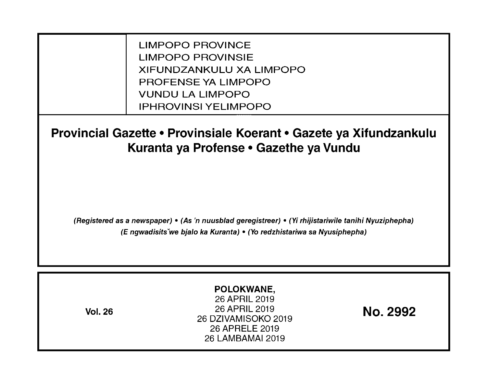LIMPOPO PROVINCE LIMPOPO PROVINSIE XIFUNDZANKULU XA LIMPOPO PROFENSE YA LIMPOPO VUNDU LA LIMPOPO IPHROVINSI YELIMPOPO

**Provincial Gazette • Provinsiale Koerant • Gazete ya Xifundzankulu Kuranta ya Profense • Gazethe ya Vundu** 

(Registered as a newspaper) • (As 'n nuusblad geregistreer) • (Yi rhijistariwile tanihi Nyuziphepha) (E ngwadisits we bjalo ka Kuranta) • (Yo redzhistariwa sa Nyusiphepha)

| POLOKWANE,<br>26 APRIL 2019<br>26 APRIL 2019<br>No. 2992<br><b>Vol. 26</b><br>26 DZIVAMISOKO 2019<br>26 APRELE 2019<br>26 LAMBAMAI 2019 |
|-----------------------------------------------------------------------------------------------------------------------------------------|
|-----------------------------------------------------------------------------------------------------------------------------------------|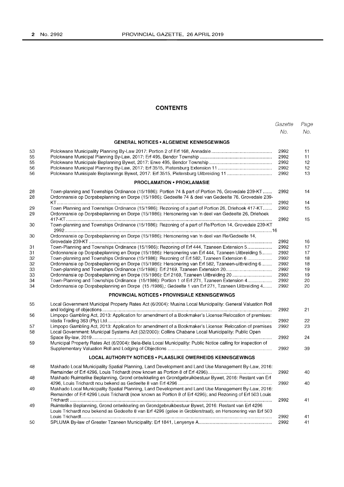#### **CONTENTS**

|    |                                                                                                              | Gazette | Page |
|----|--------------------------------------------------------------------------------------------------------------|---------|------|
|    |                                                                                                              | No.     | No.  |
|    | <b>GENERAL NOTICES • ALGEMENE KENNISGEWINGS</b>                                                              |         |      |
| 53 |                                                                                                              | 2992    | 11   |
| 55 |                                                                                                              | 2992    | 11   |
| 55 |                                                                                                              | 2992    | 12   |
| 56 |                                                                                                              | 2992    | 12   |
| 56 | Polokwane Munisipale Beplannings Bywet, 2017: Erf 3515, Pietersburg Uitbreiding 11                           | 2992    | 13   |
|    | <b>PROCLAMATION • PROKLAMASIE</b>                                                                            |         |      |
| 28 | Town-planning and Townships Ordinance (15/1986): Portion 74 & part of Portion 76, Grovedale 239-KT           | 2992    | 14   |
| 28 | Ordonnansie op Dorpsbeplanning en Dorpe (15/1986): Gedeelte 74 & deel van Gedeelte 76, Grovedale 239-        |         |      |
|    |                                                                                                              | 2992    | 14   |
| 29 | Town Planning and Townships Ordinance (15/1986): Rezoning of a part of Portion 26, Driehoek 417-KT           | 2992    | 15   |
| 29 | Ordonnansie op Dorpsbeplanning en Dorpe (15/1986): Hersonering van 'n deel van Gedeelte 26, Driehoek         |         |      |
|    |                                                                                                              | 2992    | 15   |
| 30 | Town-planning and Townships Ordinance (15/1986): Rezoning of a part of Re/Portion 14, Grovedale 239-KT       |         |      |
| 30 | Ordonnansie op Dorpsbeplanning en Dorpe (15/1986): Hersonering van 'n deel van Re/Gedeelte 14,               |         |      |
|    |                                                                                                              | 2992    | 16   |
| 31 | Town-Planning and Townships Ordinance (15/1986): Rezoning of Erf 444, Tzaneen Extension 5                    | 2992    | 17   |
| 31 | Ordonnansie op Dorpsbeplanning en Dorpe (15/1986): Hersonering van Erf 444, Tzaneen Uitbreiding 5            | 2992    | 17   |
| 32 | Town-planning and Townships Ordinance (15/1986): Rezoning of Erf 582, Tzaneen Extension 6                    | 2992    | 18   |
| 32 | Ordonnansie op Dorpsbeplanning en Dorpe (15/1986): Hersonering van Erf 582, Tzaneen-uitbreiding 6            | 2992    | 18   |
| 33 | Town-planning and Townships Ordinance (15/1986): Erf 2169, Tzaneen Extension 20                              | 2992    | 19   |
| 33 | Ordonnansie op Dorpsbeplanning en Dorpe (15/1986): Erf 2169, Tzaneen Uitbreiding 20                          | 2992    | 19   |
| 34 | Town-Planning and Townships Ordinance (15/1986): Portion 1 of Erf 271, Tzaneen Extension 4                   | 2992    | 20   |
| 34 | Ordonnansie op Dorpsbeplanning en Dorpe (15/1986),: Gedeelte 1 van Erf 271, Tzaneen Uitbreiding 4            | 2992    | 20   |
|    | <b>PROVINCIAL NOTICES . PROVINSIALE KENNISGEWINGS</b>                                                        |         |      |
| 55 | Local Government Municipal Property Rates Act (6/2004): Musina Local Municipality: General Valuation Roll    |         |      |
|    |                                                                                                              | 2992    | 21   |
| 56 | Limpopo Gambling Act, 2013: Application for amendment of a Bookmaker's License: Relocation of premises:      |         |      |
|    |                                                                                                              | 2992    | 22   |
| 57 | Limpopo Gambling Act, 2013: Application for amendment of a Bookmaker's License: Relocation of premises       | 2992    | 23   |
| 58 | Local Government: Municipal Systems Act (32/2000): Collins Chabane Local Municipality: Public Open           |         |      |
|    |                                                                                                              | 2992    | 24   |
| 59 | Municipal Property Rates Act (6/2004): Bela-Bela Local Municipality: Public Notice calling for inspection of | 2992    | 39   |
|    | LOCAL AUTHORITY NOTICES . PLAASLIKE OWERHEIDS KENNISGEWINGS                                                  |         |      |
|    |                                                                                                              |         |      |
| 48 | Makhado Local Municipality Spatial Planning, Land Development and Land Use Management By-Law, 2016:          | 2992    | 40   |
| 48 | Makhado Ruimtelike Beplanning, Grond ontwikkeling en Grondgebruikbestuur Bywet, 2016: Restant van Erf        |         |      |
|    |                                                                                                              | 2992    | 40   |
| 49 | Makhado Local Municipality Spatial Planning, Land Development and Land Use Management By-Law, 2016:          |         |      |
|    | Remainder of Erf 4296 Louis Trichardt (now known as Portion 8 of Erf 4296); and Rezoning of Erf 503 Louis    |         |      |
|    |                                                                                                              | 2992    | 41   |
| 49 | Ruimtelike Beplanning, Grond ontwikkeling en Grondgebruikbestuur Bywet, 2016: Restant van Erf 4296           |         |      |
|    | Louis Trichardt nou bekend as Gedeelte 8 van Erf 4296 (gelee in Groblerstraat); en Hersonering van Erf 503   |         |      |
|    |                                                                                                              | 2992    | 41   |
| 50 |                                                                                                              | 2992    | 41   |
|    |                                                                                                              |         |      |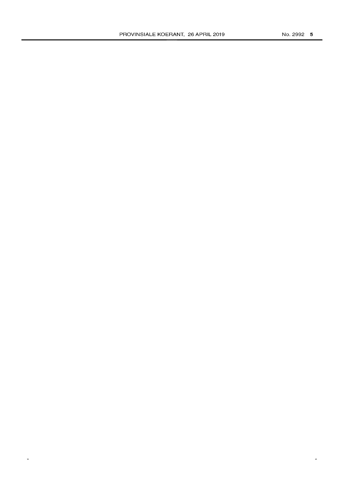$\ddot{\phantom{a}}$ 

 $\tilde{\phantom{a}}$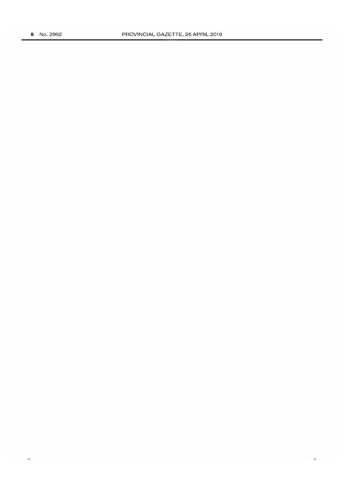$\ddot{\phantom{1}}$ 

 $\overline{\phantom{a}}$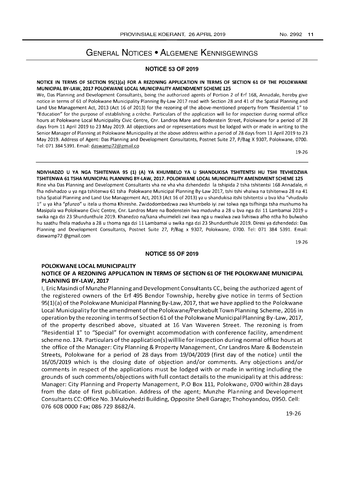# GENERAL NOTICES • ALGEMENE KENNISGEWINGS

#### NOTICE 53 OF 2019

#### NOTICE IN TERMS OF SECTION 95(1)(a) FOR A REZONING APPLICATION IN TERMS OF SECTION 61 OF THE POLOKWANE MUNICIPAL BY-LAW, 2017 POLOKWANE LOCAL MUNICIPALITY AMENDMENT SCHEME 125

We, Das Planning and Development Consultants, being the authorized agents of Portion 2 of Erf 168, Annadale, hereby give notice in terms of 61 of Polokwane Municipality Planning By-Law 2017 read with Section 28 and 41 of the Spatial Planning and Land Use Management Act, 2013 (Act 16 of 2013) for the rezoning of the above-mentioned property from "Residential 1" to "Education" for the purpose of establishing a creche. Particulars of the application will lie for inspection during normal office hours at Polokwane Local Municipality Civic Centre, Cnr. Landros Mare and Bodenstein Street, Polokwane for a period of 28 days from 11 April 2019 to 23 May 2019. All objections and or representations must be lodged with or made in writing to the Senior Manager of Planning at Polokwane Municipality at the above address within a period of 28 days from 11 April 2019 to 23 May 2019. Address of Agent: Das Planning and Development Consultatnts, Postnet Suite 27, P/Bag X 9307, Polokwane, 0700. Tel: 071 3845391. Email: daswamp72@gmail.co

19-26

NDIVHADZO U YA NGA TSHITENWA 95 (1) (A) YA KHUMBELO YA U SHANDUKISA TSHITENTSI HU TSHI TEVHEDZWA TSHITENWA 61 TSHA MUNICIPAL PLANNING BY-LAW, 2017. POLOKWANE LOCAL MUNICIPALITY AMENDMENT SCHEME 125 Rine vha Das Planning and Development Consultants vha ne vha vha dzhendedzi la tshipida 2 tsha tshitentsi 168 Annadale, ri fha ndivhadzo u ya nga tshitenwa 61 tsha Polokwane Municipal Planning By-Law 2017, tshi tshi vhalwa na tshitenwa 28 na 41 tsha Spatial Planning and Land Use Management Act, 2013 (Act 16 of 2013) ya u shandukisa itshi tshitentsi u bva kha "vhudzulo 1" u ya kha "pfunzo" u itela u thoma Khireshe. Zwidodombedzwa zwa khumbelo iyi zwi tolwa nga tsifhinga tsha mushumo ha Masipala wa Polokwane Civic Centre, Cnr. Landros Mare na Bodenstein Iwa maduvha a 28 u bva nga dzi 11 Lambamai 2019 u swika nga dzi 23 Shundunthule 2019. Khanedzo na/kana vhuimeleli zwi itwa nga u nwalwa zwa livhiswa afho ntha ho bulwaho hu saathu fhela maduvha a 28 u thoma nga dzi 11 Lambamai u swika nga dzi 23 Shundunthule 2019. Diresi ya dzhendedzi: Das Planning and Development Consultants, Postnet Suite 27, P/Bag x 9307, Polokwane, 0700. Tel: 071 384 5391. Email: daswamp72 @gmail.com

19-26

#### NOTICE 55 OF 2019

#### POLOKWANE LOCAL MUNICIPALITY

#### NOTICE OF A REZONING APPLICATION IN TERMS OF SECTION 61 OF THE POLOKWANE MUNICIPAL PLANNING BY-LAW, 2017

I, Eric Masindi of Munzhe Planning and Development Consultants CC, being the authorized agent of the registered owners of the Erf 495 Bendor Township, hereby give notice in terms of Section 95(1)(a) of the Polokwane Municipal Planning By-Law, 2017, that we have applied to the Polokwane Local Municipality for the amendment of the Polokwane/Perskebult Town Planning Scheme, 2016 in operation by the rezoning in terms of Section 61 of the Polokwane Municipal Planning By-Law, 2017, of the property described above, situated at 16 Van Waveren Street. The rezoning is from "Residential 1" to "Special" for overnight accommodation with conference facility, amendment scheme no. 174. Particulars of the application(s) will lie for inspection during normal office hours at the office ofthe Manager: City Planning & Property Management, Cnr Landros Mare & Bodenstein Streets, Polokwane for a period of 28 days from 19/04/2019 (first day of the notice) until the 16/05/2019 which is the closing date of objection and/or comments. Any objections and/or comments in respect of the applications must be lodged with or made in writing including the grounds of such comments/objections with full contact details to the municipality at this address: Manager: City Planning and Property Management, P.O Box 111, Polokwane, 0700 within 28 days from the date of first publication. Address of the agent; Munzhe Pia nning and Development Consultants CC: Office No.3 Mulovhedzi Building, Opposite Shell Garage; Thohoyandou, 0950. Cell: 076 608 0000 Fax; 086 729 8682/4.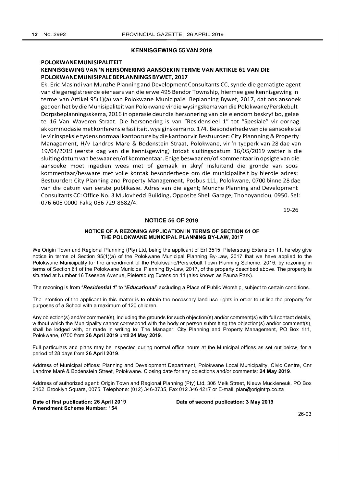#### KENNISGEWING 55 VAN 2019

#### POlOKWANE MUNISIPALITEIT

#### KENNISGEWING VAN 'N HERSONERING AANSOEK IN TERME VAN ARTIKlE 61 VAN DIE POlOKWANE MUNISIPAlE BEPlANNINGS BYWET, 2017

Ek, Eric Masindi van Munzhe Planning and Development Consultants CC, synde die gematigte agent van die geregistreerde eienaars van die erwe 495 Bendor Township, hiermee gee kennisgewing in terme van Artikel 95(l)(a) van Polokwane Municipale Beplanning Bywet, 2017, dat ons ansooek gedoen het by die Munisipaliteitvan Polokwane vir die wysingskema van die Polokwane/Perskebult Dorpsbeplanningsskema, 2016 in operasie deurdie hersonering van die eiendom beskryf bo, gelee te 16 Van Waveren Straat. Die hersonering is van "Residensieel 1" tot "Spesiale" vir oornag akkommodasie met konferensie fasiliteit, wysiginskema no. 174. Besonderhedevan die aansoeke sal Ie vir inspeksie tydens normaal kantoorure by die kantoorvir Bestuurder: City Plannning & Property Management, H/v Landros Mare & Bodenstein Straat, Polokwane, vir 'n tydperk van 28 dae van 19/04/2019 (eerste dag van die kennisgewing) totdat sluitingsdatum 16/05/2019 watter is die sluiting datum van beswaar en/of kommentaar. Enige beswaaren/of kommentaar in opsigte van die aansoeke moet ingedien wees met of gemaak in skryf insluitend die gronde van soos kommentaar/besware met volle kontak besonderhede om die municipaliteit by hierdie ad res: Bestuurder: City Planning and Property Management, Posbus 111, Polokwane, 0700 binne 28 dae van die datum van eerste publikasie. Adres van die agent; Munzhe Planning and Development Consultants CC: Office No.3 Mulovhedzi Building, Opposite Shell Garage; Thohoyandou, 0950. Sel: 076 608 0000 Faks; 086 729 8682/4.

19-26

#### NOTICE 56 OF 2019

#### NOTICE OF A REZONING APPLICATION IN TERMS OF SECTION 61 OF THE POLOKWANE MUNICIPAL PLANNING BY-LAW, 2017

We Origin Town and Regional Planning (Pty) Ltd, being the applicant of Erf 3515, Pietersburg Extension 11, hereby give notice in terms of Section 95(1)(a) of the Polokwane Municipal Planning By-Law, 2017 that we have applied to the Polokwane Municipality for the amendment of the Polokwane/Perskebult Town Planning Scheme, 2016, by rezoning in terms of Section 61 of the Polokwane Municipal Planning By-Law, 2017, of the property described above. The property is situated at Number 16 Tsesebe Avenue, Pieters burg Extension 11 (also known as Fauna Park).

The rezoning is from "Residential 1" to "Educational" excluding a Place of Public Worship, subject to certain conditions.

The intention of the applicant in this matter is to obtain the necessary land use rights in order to utilise the property for purposes of a School with a maximum of 120 children.

Any objection(s) and/or comment(s), including the grounds for such objection(s) and/or comment(s) with full contact details, without which the Municipality cannot correspond with the body or person submitting the objection(s) and/or comment(s), shall be lodged with, or made in writing to: The Manager: City Planning and Property Management, PO Box 111, Polokwane, 0700 from 26 April 2019 until 24 May 2019.

Full particulars and plans may be inspected during normal office hours at the Municipal offices as set out below, for a period of 28 days from 26 April 2019.

Address of Municipal offices: Planning and Development Department, Polokwane Local Municipality, Civic Centre, Cnr Landros Maré & Bodenstein Street, Polokwane. Closing date for any objections and/or comments: 24 May 2019.

Address of authorized agent: Origin Town and Regional Planning (Pty) Ltd, 306 Melk Street, Nieuw Muckleneuk. PO Box 2162, Brooklyn Square, 0075. Telephone: (012) 346-3735, Fax 0123464217 or E-mail: plan@origintrp.co.za

Date of first publication: 26 April 2019 Amendment Scheme Number: 154

Date of second publication: 3 May 2019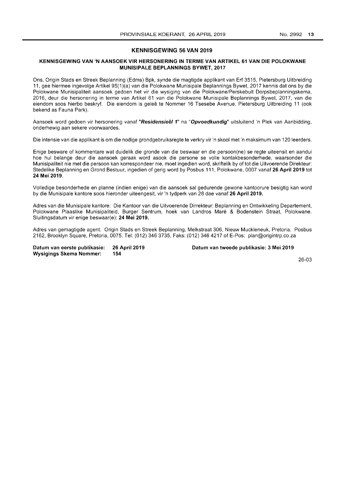#### **KENNISGEWING 56 VAN 2019**

#### **KENNISGEWING VAN 'N AANSOEK VIR HERSONERING IN TERME VAN ARTIKEL 61 VAN DIE POLOKWANE MUNISIPALE BEPLANNINGS BYWET, 2017**

Ons, Origin Stads en Streek Beplanning (Edms) Bpk, synde die magtigde applikant van Erf 3515, Pietersburg Uitbreiding 11, gee hiermee ingevolge Artikel 95(1 )(a) van die Polokwane Munisipale Beplannings Bywet, 2017 kennis dat ons by die Polokwane Munisipaliteit aansoek gedoen het vir die wysiging van die Polokwane/Perskebult Dorpsbeplanningskema, 2016, deur die hersonering in terme van Artikel 61 van die Polokwane Munisipale Beplannings Bywet, 2017, van die eiendom soos hierbo beskryf. Die eiendom is geleë te Nommer 16 Tsesebe Avenue, Pietersburg Uitbreiding 11 (ook bekend as Fauna Park).

Aansoek word gedoen vir hersonering vanaf **"ResidensieeI1" na "Opvoedkundig"** uitsluitend 'n Plek van Aanbidding, onderhewig aan sekere voorwaardes.

Die intensie van die applikant is om die nodige grondgebruiksregte te verkry vir 'n skool met 'n maksimum van 120 leerders.

Enige besware of kommentare wat duidelik die gronde van die beswaar en die persoon(ne) se regte uiteensit en aandui hoe hul be lange deur die aansoek geraak word asook die persone se volle kontakbesonderhede, waarsonder die Munisipaliteit nie met die persoon kan korrespondeer nie, moet ingedien word, skriftelik by of tot die Uitvoerende Direkteur: Stedelike Beplanning en Grond Bestuur, ingedien of gerig word by Posbus 111, Polokwane, 0007 vanaf **26 April 2019** tot **24 Mei 2019.** 

Volledige besonderhede en planne (indien enige) van die aansoek sal gedurende gewone kantoorure besigtig kan word by die Munisipale kantore soos hieronder uiteengesit, vir 'n tydperk van 28 dae vanaf **26 April 2019.** 

Adres van die Munisipale kantore: Die Kantoor van die Uitvoerende Dirrekteur: Beplanning en Ontwikkeling Departement, Polokwane Plaaslike Munisipaliteid, Burger Sentrum, hoek van Landros Mare & Bodenstein Straat, Polokwane. Sluitingsdatum vir enige beswaar(e): **24 Mei 2019.** 

Adres van gemagtigde agent: Origin Stads en Streek Beplanning, Melkstraat 306, Nieuw Muckleneuk, Pretoria. Posbus 2162, Brooklyn Square, Pretoria, 0075. Tel: (012) 346 3735, Faks: (012) 3464217 of E-Pos: plan@origintrp.co.za

**Datum van eerste publikasie: Wysigings Skema Nommer: 26** April 2019 **154** 

**Datum van tweede publikasie: 3 Mei 2019**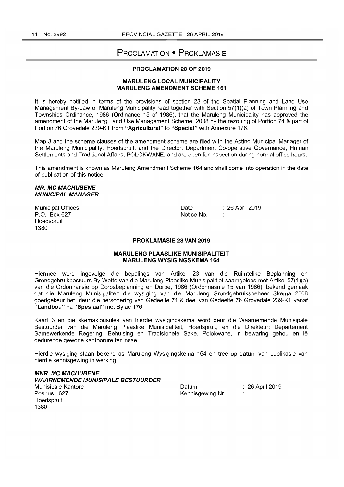## **PROCLAMATION • PROKLAMASIE**

#### **PROCLAMATION 28 OF 2019**

#### **MARULENG LOCAL MUNICIPALITY MARULENG AMENDMENT SCHEME 161**

**It** is hereby notified in terms of the provisions of section 23 of the Spatial Planning and Land Use Management By-Law of Maruleng Municipality read together with Section 57(1)(a) of Town Planning and Townships Ordinance, 1986 (Ordinance 15 of 1986), that the Maruleng Municipality has approved the amendment of the Maruleng Land Use Management Scheme, 2008 by the rezoning of Portion 74 & part of Portion 76 Grovedale 239-KT from **"Agricultural" to "Special"** with Annexure 176.

Map 3 and the scheme clauses of the amendment scheme are filed with the Acting Municipal Manager of the Maruleng Municipality, Hoedspruit, and the Director: Department Co-operative Governance, Human Settlements and Traditional Affairs, POLOKWANE, and are open for inspection during normal office hours.

This amendment is known as Maruleng Amendment Scheme 164 and shall come into operation in the date of publication of this notice.

#### **MR. MC MACHUBENE MUNICIPAL MANAGER**

Municipal Offices P.O. Box 627 Hoedspruit 1380

**Date** Notice No. 26 April 2019

#### **PROKLAMASIE 28 VAN 2019**

#### **MARULENG PLAASLIKE MUNISIPALITEIT MARULENG WYSIGINGSKEMA 164**

Hiermee word ingevolge die bepalings van Artikel 23 van die Ruimtelike Beplanning en Grondgebruikbestuurs By-Wette van die Maruleng Plaaslike Munisipalitiet saamgelees met Artikel 57(1 )(a) van die Ordonnansie op Dorpsbeplanning en Dorpe, 1986 (Ordonnasnie 15 van 1986), bekend gemaak dat die Maruleng Munisipaliteit die wysiging van die Maruleng Grondgebruiksbeheer Skema 2008 goedgekeur het, deur die hersonering van Gedeelte 74 & deel van Gedeelte 76 Grovedale 239-KT vanaf **"Landbou" na "Spesiaal"** met Bylae 176.

Kaart 3 en die skemaklousules van hierdie wysigingskema word deur die Waarnemende Munisipale Bestuurder van die Maruleng Plaaslike Munisipaliteit, Hoedspruit, en die Direkteur: Departement Samewerkende Regering, Behuising en Tradisionele Sake. Polokwane, in bewaring gehou en Ie gedurende gewone kantoorure ter insae.

Hierdie wysiging staan bekend as Maruleng Wysigingskema 164 en tree op datum van publikasie van hierdie kennisgewing in werking.

**MNR. MC MACHUBENE WAARNEMENDE MUNISIPALE BESTUURDER**  Munisipale Kantore Posbus 627 Hoedspruit 1380

Datum Kennisgewing **Nr**  26 April 2019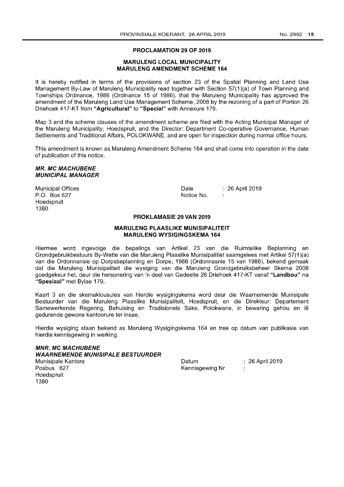# PROCLAMATION 29 OF 2019

#### MARULENG LOCAL MUNICIPALITY MARULENG AMENDMENT SCHEME 164

It is hereby notified in terms of the provisions of section 23 of the Spatial Planning and Land Use Management By-Law of Maruleng Municipality read together with Section 57(1)(a) of Town Planning and Townships Ordinance, 1986 (Ordinance 15 of 1986), that the Maruleng Municipality has approved the amendment of the Maruleng Land Use Management Scheme, 2008 by the rezoning of a part of Portion 26 Driehoek 417-KT from "Agricultural" to "Special" with Annexure 179.

Map 3 and the scheme clauses of the amendment scheme are filed with the Acting Municipal Manager of the Maruleng Municipality, Hoedspruit, and the Director: Department Co-operative Governance, Human Settlements and Traditional Affairs, POLOKWANE, and are open for inspection during normal office hours.

This amendment is known as Maruleng Amendment Scheme 164 and shall come into operation in the date of publication of this notice.

#### MR. MC MACHUBENE MUNICIPAL MANAGER

Municipal Offices P.O. Box 627 Hoedspruit 1380

Date Notice No. 26 April 2019

#### PROKLAMASIE 29 VAN 2019

#### MARULENG PLAASLIKE MUNISIPALITEIT MARULENG WYSIGINGSKEMA 164

Hiermee word ingevolge die bepalings van Artikel 23 van die Ruimtelike Beplanning en Grondgebruikbestuurs By-Wette van die Maruleng Plaaslike Munisipalitiet saamgelees met Artikel 57(1)(a) van die Ordonnansie op Dorpsbeplanning en Dorpe, 1986 (Ordonnasnie 15 van 1986), bekend gemaak dat die Maruleng Munisipaliteit die wysiging van die Maruleng Grondgebruiksbeheer Skema 2008 goedgekeur het, deur die hersonering van 'n deel van Gedeelte 26 Driehoek 417 -KT vanaf "Landbou" na "Spesiaal" met Bylae 179.

Kaart 3 en die skemaklousules van hierdie wysigingskema word deur die Waarnemende Munisipale Bestuurder van die Maruleng Plaaslike Munisipaliteit, Hoedspruit, en die Direkteur: Departement Samewerkende Regering, Behuising en Tradisionele Sake. Polokwane, in bewaring gehou en Ie gedurende gewone kantoorure ter insae.

Hierdie wysiging staan bekend as Maruleng Wysigingskema 164 en tree op datum van publikasie van hierdie kennisgewing in werking.

#### MNR. MC MACHUBENE

WAARNEMENDE MUNISIPALE BESTUURDER

Munisipale Kantore Posbus 627 Hoedspruit 1380

Datum Kennisgewing Nr 26 April 2019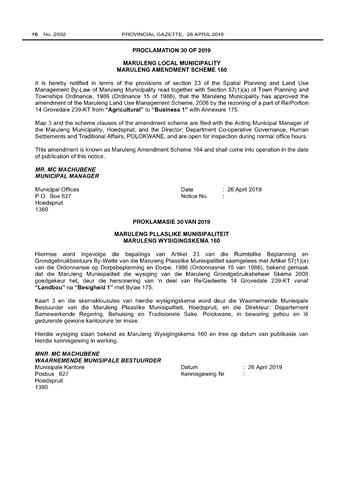#### PROCLAMATION 30 OF 2019

#### MARULENG LOCAL MUNICIPALITY MARULENG AMENDMENT SCHEME 160

It is hereby notified in terms of the provisions of section 23 of the Spatial Planning and Land Use Management By-Law of Maruleng Municipality read together with Section 57(1)(a) of Town Planning and Townships Ordinance, 1986 (Ordinance 15 of 1986), that the Maruleng Municipality has approved the amendment of the Maruleng Land Use Management Scheme, 2008 by the rezoning of a part of Re/Portion 14 Grovedale 239-KT from "Agricultural" to "Business 1" with Annexure 175.

Map 3 and the scheme clauses of the amendment scheme are filed with the Acting Municipal Manager of the Maruleng Municipality, Hoedspruit, and the Director: Department Co-operative Governance, Human Settlements and Traditional Affairs, POLOKWANE, and are open for inspection during normal office hours.

This amendment is known as Maruleng Amendment Scheme 164 and shall come into operation in the date of publication of this notice.

#### MR. MC MACHUBENE MUNICIPAL MANAGER

Municipal Offices P.O. Box 627 Hoedspruit 1380

Date Notice No. 26 April 2019

#### PROKLAMASIE 30 VAN 2019

#### MARULENG PLLASLIKE MUNISIPALITEIT MARULENG WYSIGINGSKEMA 160

Hiermee word ingevolge die bepalings van Artikel 23 van die Ruimtelike Beplanning en Grondgebruikbestuurs By-Wette van die Maruleng Plaaslike Munisipalitiet saamgelees met Artikel 57(1)(a) van die Ordonnansie op Dorpsbeplanning en Dorpe, 1986 (Ordonnasnie 15 van 1986), bekend gemaak dat die Maruleng Munisipaliteit die wysiging van die Maruleng Grondgebruiksbeheer Skema 2008 goedgekeur het, deur die hersonering van 'n deel van Re/Gedeelte 14 Grovedale 239-KT vanaf "Landbou" na "Besigheid 1" met Bylae 175.

Kaart 3 en die skemaklousules van hierdie wysigingskema word deur die Waarnemende Munisipale Bestuurder van die Maruleng Plaaslike Munisipaliteit, Hoedspruit, en die Direkteur: Departement Samewerkende Regering, Behuising en Tradisionele Sake. Polokwane, in bewaring gehou en Ie gedurende gewone kantoorure ter insae.

Hierdie wysiging staan bekend as Maruleng Wysigingskema 160 en tree op datum van publikasie van hierdie kennisgewing in werking.

MNR. MC MA CHUBENE WAARNEMENDE MUN/SIPALE BESTUURDER Munisipale Kantore Posbus 627 Hoedspruit 1380

Datum Kennisgewing Nr 26 April 2019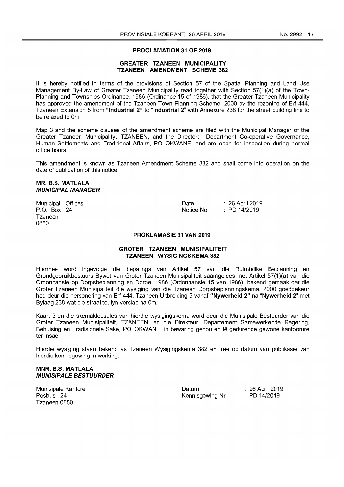#### **PROCLAMATION 31 OF 2019**

#### **GREATER TZANEEN MUNICIPALITY TZANEEN AMENDMENT SCHEME 382**

It is hereby notified in terms of the provisions of Section 57 of the Spatial Planning and Land Use Management By-Law of Greater Tzaneen Municipality read together with Section 57(1)(a) of the Town-Planning and Townships Ordinance, 1986 (Ordinance 15 of 1986), that the Greater Tzaneen Municipality has approved the amendment of the Tzaneen Town Planning Scheme, 2000 by the rezoning of Erf 444, Tzaneen Extension 5 from **"Industrial** 2" to **"Industrial** 2" with Annexure 238 for the street building line to be relaxed to Om.

Map 3 and the scheme clauses of the amendment scheme are filed with the Municipal Manager of the Greater Tzaneen Municipality, TZANEEN, and the Director: Department Co-operative Governance, Human Settlements and Traditional Affairs, POLOKWANE, and are open for inspection during normal office hours.

This amendment is known as Tzaneen Amendment Scheme 382 and shall come into operation on the date of publication of this notice.

#### **MR. B.S. MATLALA MUNICIPAL MANAGER**

Municipal Offices P.O. Box 24 Tzaneen 0850

Date Notice No. 26 April 2019  $\therefore$  PD 14/2019

#### **PROKLAMASIE 31 VAN 2019**

#### **GROTER TZANEEN MUNISIPALITEIT TZANEEN WYSIGINGSKEMA 382**

Hiermee word ingevolge die bepalings van Artikel 57 van die Ruimtelike Beplanning en Grondgebruikbestuurs Bywet van Groter Tzaneen Munisipaliteit saamgelees met Artikel 57(1 )(a) van die Ordonnansie op Dorpsbeplanning en Dorpe, 1986 (Ordonnansie 15 van 1986), bekend gemaak dat die Groter Tzaneen Munisipaliteit die wysiging van die Tzaneen Dorpsbeplanningskema, 2000 goedgekeur het, deur die hersonering van Erf 444, Tzaneen Uitbreiding 5 vanaf **"Nywerheid** 2" na **"Nywerheid** 2" met Bylaag 238 wat die straatboulyn verslap na Om.

Kaart 3 en die skemaklousules van hierdie wysigingskema word deur die Munisipale Bestuurder van die Groter Tzaneen Munisipaliteit, TZANEEN, en die Direkteur: Departement Samewerkende Regering, Behuising en Tradisionele Sake, POLOKWANE, in bewaring gehou en Ie gedurende gewone kantoorure ter insae.

Hierdie wysiging staan bekend as Tzaneen Wysigingskema 382 en tree op datum van publikasie van hierdie kennisgewing in werking.

#### **MNR. B.S. MATLALA MUNISIPALE BESTUURDER**

Munisipale Kantore Posbus 24 Tzaneen 0850

Datum Kennisgewing Nr 26 April 2019 PD 14/2019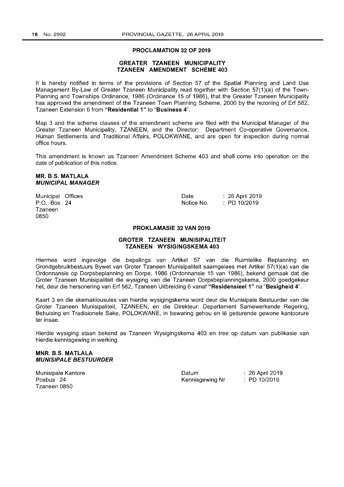#### PROCLAMATION 32 OF 2019

#### GREATER TZANEEN MUNICIPALITY TZANEEN AMENDMENT SCHEME 403

It is hereby notified in terms of the provisions of Section 57 of the Spatial Planning and Land Use Management By-Law of Greater Tzaneen Municipality read together with Section 57(1)(a) of the Town-Planning and Townships Ordinance, 1986 (Ordinance 15 of 1986), that the Greater Tzaneen Municipality has approved the amendment of the Tzaneen Town Planning Scheme, 2000 by the rezoning of Erf 582, Tzaneen Extension 6 from "Residential 1" to "Business 4".

Map 3 and the scheme clauses of the amendment scheme are filed with the Municipal Manager of the Greater Tzaneen Municipality, TZANEEN, and the Director: Department Co-operative Governance, Human Settlements and Traditional Affairs, POLOKWANE, and are open for inspection during normal office hours.

This amendment is known as Tzaneen Amendment Scheme 403 and shall come into operation on the date of publication of this notice.

#### MR. B.S. MATLALA MUNICIPAL MANAGER

Municipal Offices P.O. Box 24 Tzaneen 0850

Date Notice No. 26 April 2019 PO 10/2019

#### PROKLAMASIE 32 VAN 2019

#### GROTER TZANEEN MUNISIPALITEIT TZANEEN WYSIGINGSKEMA 403

Hiermee word ingevolge die bepalings van Artikel 57 van die Ruimtelike Beplanning en Grondgebruikbestuurs Bywet van Groter Tzaneen Munisipaliteit saamgelees met Artikel 57(1)(a) van die Ordonnansie op Dorpsbeplanning en Dorpe, 1986 (Ordonnansie 15 van 1986), bekend gemaak dat die Groter Tzaneen Munisipaliteit die wysiging van die Tzaneen Dorpsbeplanningskema, 2000 goedgekeur het, deur die hersonering van Erf 582, Tzaneen Uitbreiding 6 vanaf "Residensieel 1" na "Besigheid 4".

Kaart 3 en die skemaklousules van hierdie wysigingskema word deur die Munisipale Bestuurder van die Groter Tzaneen Munisipaliteit, TZANEEN, en die Direkteur: Departement Samewerkende Regering, Behuising en Tradisionele Sake, POLOKWANE, in bewaring gehou en Ie gedurende gewone kantoorure ter insae.

Hierdie wysiging staan bekend as Tzaneen Wysigingskema 403 en tree op datum van publikasie van hierdie kennisgewing in werking.

#### MNR. B.S. MATLALA MUNISIPALE BESTUURDER

Munisipale Kantore Posbus 24 Tzaneen 0850

Datum Kennisgewing Nr 26 April 2019 PO 10/2019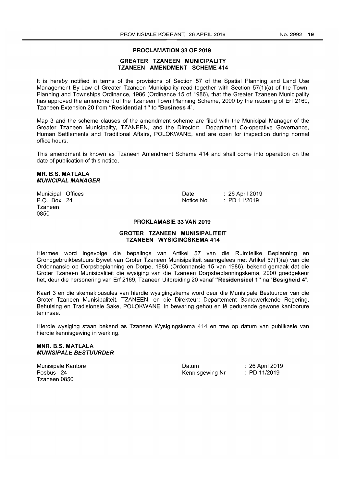#### PROCLAMATION 33 OF 2019

#### GREATER TZANEEN MUNICIPALITY TZANEEN AMENDMENT SCHEME 414

It is hereby notified in terms of the provisions of Section 57 of the Spatial Planning and Land Use Management By-Law of Greater Tzaneen Municipality read together with Section 57(1)(a) of the Town-Planning and Townships Ordinance, 1986 (Ordinance 15 of 1986), that the Greater Tzaneen Municipality has approved the amendment of the Tzaneen Town Planning Scheme, 2000 by the rezoning of Erf 2169, Tzaneen Extension 20 from "Residential 1" to "Business 4".

Map 3 and the scheme clauses of the amendment scheme are filed with the Municipal Manager of the Greater Tzaneen Municipality, TZANEEN, and the Director: Department Co-operative Governance, Human Settlements and Traditional Affairs, POLOKWANE, and are open for inspection during normal office hours.

This amendment is known as Tzaneen Amendment Scheme 414 and shall come into operation on the date of publication of this notice.

#### MR. B.S. MATLALA MUNICIPAL MANAGER

Municipal Offices P.O. Box 24 Tzaneen 0850

Date Notice No.

26 April 2019 PD 11/2019

#### PROKLAMASIE 33 VAN 2019

#### GROTER TZANEEN MUNISIPALITEIT TZANEEN WYSIGINGSKEMA 414

Hiermee word ingevolge die bepalings van Artikel 57 van die Ruimtelike Beplanning en Grondgebruikbestuurs Bywet van Groter Tzaneen Munisipaliteit saamgelees met Artikel 57(1 )(a) van die Ordonnansie op Dorpsbeplanning en Dorpe, 1986 (Ordonnansie 15 van 1986), bekend gemaak dat die Groter Tzaneen Munisipaliteit die wysiging van die Tzaneen Dorpsbeplanningskema, 2000 goedgekeur het, deur die hersonering van Erf 2169, Tzaneen Uitbreiding 20 vanaf "Residensieel 1" na "Besigheid 4".

Kaart 3 en die skemaklousules van hierdie wysigingskema word deur die Munisipale Bestuurder van die Groter Tzaneen Munisipaliteit, TZANEEN, en die Direkteur: Departement Samewerkende Regering, Behuising en Tradisionele Sake, POLOKWANE, in bewaring gehou en Ie gedurende gewone kantoorure ter insae.

Hierdie wysiging staan bekend as Tzaneen Wysigingskema 414 en tree op datum van publikasie van hierdie kennisgewing in werking.

#### MNR. B.S. MATLALA MUNISIPALE BESTUURDER

Munisipale Kantore Posbus 24 Tzaneen 0850

**Datum** Kennisgewing Nr

26 April 2019 PD 11/2019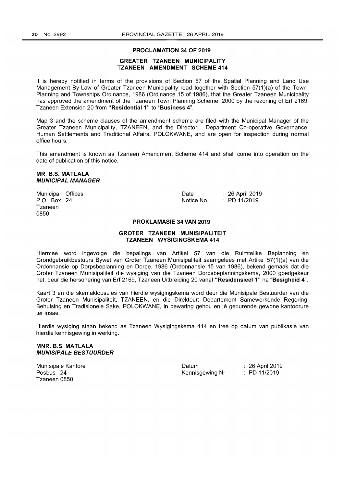#### PROCLAMATION 34 OF 2019

#### GREATER TZANEEN MUNICIPALITY TZANEEN AMENDMENT SCHEME 414

It is hereby notified in terms of the provisions of Section 57 of the Spatial Planning and Land Use Management By-Law of Greater Tzaneen Municipality read together with Section 57(1)(a) of the Town-Planning and Townships Ordinance, 1986 (Ordinance 15 of 1986), that the Greater Tzaneen Municipality has approved the amendment of the Tzaneen Town Planning Scheme, 2000 by the rezoning of Erf 2169, Tzaneen Extension 20 from "Residential 1" to "Business 4".

Map 3 and the scheme clauses of the amendment scheme are filed with the Municipal Manager of the Greater Tzaneen Municipality, TZANEEN, and the Director: Department Co-operative Governance, Human Settlements and Traditional Affairs, POLOKWANE, and are open for inspection during normal office hours.

This amendment is known as Tzaneen Amendment Scheme 414 and shall come into operation on the date of publication of this notice.

#### MR. B.S. MATLALA MUNICIPAL MANAGER

Municipal Offices P.O. Box 24 Tzaneen 0850

Date Notice No.

26 April 2019  $\pm$  PD 11/2019

#### PROKLAMASIE 34 VAN 2019

#### GROTER TZANEEN MUNISIPALITEIT TZANEEN WYSIGINGSKEMA 414

Hiermee word ingevolge die bepalings van Artikel 57 van die Ruimtelike Beplanning en Grondgebruikbestuurs Bywet van Groter Tzaneen Munisipaliteit saamgelees met Artikel 57(1 )(a) van die Ordonnansie op Dorpsbeplanning en Dorpe, 1986 (Ordonnansie 15 van 1986), bekend gemaak dat die Groter Tzaneen Munisipaliteit die wysiging van die Tzaneen Dorpsbeplanningskema, 2000 goedgekeur het, deur die hersonering van Erf 2169, Tzaneen Uitbreiding 20 vanaf "Residensieel 1" na "Besigheid 4".

Kaart 3 en die skemaklousules van hierdie wysigingskema word deur die Munisipale Bestuurder van die Groter Tzaneen Munisipaliteit, TZANEEN, en die Direkteur: Departement Samewerkende Regering, Behuising en Tradisionele Sake, POLOKWANE, in bewaring gehou en Ie gedurende gewone kantoorure ter insae.

Hierdie wysiging staan bekend as Tzaneen Wysigingskema 414 en tree op datum van publikasie van hierdie kennisgewing in werking.

#### MNR. B.S. MATLALA MUNISIPALE BESTUURDER

Munisipale Kantore Posbus 24 Tzaneen 0850

Datum Kennisgewing Nr

26 April 2019 PD 11/2019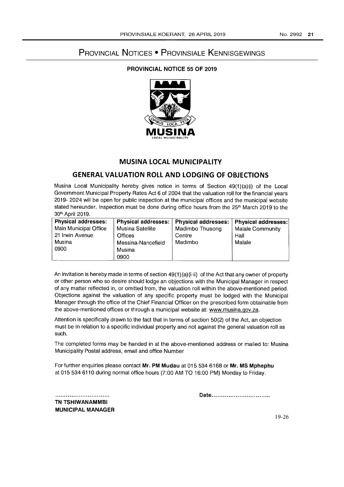# PROVINCIAL NOTICES • PROVINSIALE KENNISGEWINGS

#### PROVINCIAL NOTICE 55 OF 2019



# MUSINA LOCAL MUNICIPALITY

### GENERAL VALUATION ROLL AND LODGING OF OBJECTIONS

Musina Local Municipality hereby gives notice in terms of Section  $49(1)(a)(i)$  of the Local Government Municipal Property Rates Act 6 of 2004 that the valuation roll for the financial years 2019- 2024 will be open for public inspection at the municipal offices and the municipal website stated hereunder. Inspection must be done during office hours from the  $25<sup>th</sup>$  March 2019 to the 30th April 2019.

| <b>Physical addresses:</b> | <b>Physical addresses:</b> | <b>Physical addresses:</b> | Physical addresses: |
|----------------------------|----------------------------|----------------------------|---------------------|
| Main Municipal Office      | Musina Satellite           | Madimbo Thusong            | Malale Community    |
| 21 Irwin Avenue            | Offices                    | Centre                     | Hall                |
| Musina                     | Messina-Nancefield         | Madimbo                    | Malale              |
| 0900                       | Musina                     |                            |                     |
|                            | 0900                       |                            |                     |

An invitation is hereby made in terms of section 49(1) (a) (i-ii) of the Act that any owner of property or other person who so desire should lodge an objections with the Municipal Manager in respect of any matter reflected in, or omitted from, the valuation roll within the above-mentioned period. Objections against the valuation of any specific property must be lodged with the Municipal Manager through the office of the Chief Financial Officer on the prescribed form obtainable from the above-mentioned offices or through a municipal website at: www.musina.gov.za.

Attention is specifically drawn to the fact that in terms of section 50(2) of the Act, an objection must be in relation to a specific individual property and not against the general valuation roll as such.

The completed forms may be handed in at the above-mentioned address or mailed to: Musina Municipality Postal address, email and office Number

For further enquiries please contact Mr. PM Mudau at 015 534 6168 or Mr. MS Mphephu at 015 534 6110 during normal office hours (7:00 AM TO 16:00 PM) Monday to Friday.

Date..................................

TN TSHIWANAMMBI MUNICIPAL MANAGER

.............................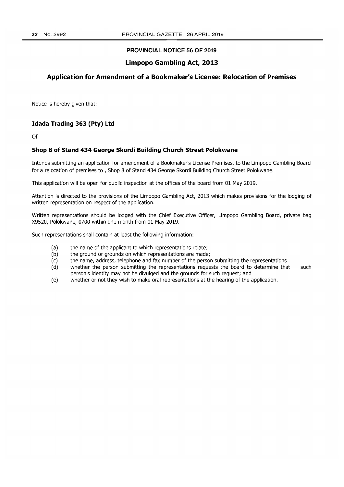#### **PROVINCIAL NOTICE 56 OF 2019**

#### **Limpopo Gambling Act, 2013**

#### **Application for Amendment of a Bookmaker's License: Relocation of Premises**

Notice is hereby given that:

#### **Idada Trading 363 (Pty) Ltd**

Of

#### **Shop 8 of Stand 434 George Skordi Building Church Street Polokwane**

Intends submitting an application for amendment of a Bookmaker's License Premises, to the Limpopo Gambling Board for a relocation of premises to , Shop 8 of Stand 434 George Skordi Building Church Street Polokwane.

This application will be open for public inspection at the offices of the board from 01 May 2019.

Attention is directed to the provisions of the Limpopo Gambling Act, 2013 which makes provisions for the lodging of written representation on respect of the application.

Written representations should be lodged with the Chief Executive Officer, Limpopo Gambling Board, private bag X9520, Polokwane, 0700 within one month from 01 May 2019.

Such representations shall contain at least the following information:

- (a) the name of the applicant to which representations relate;
- (b) the ground or grounds on which representations are made;
- (c) the name, address, telephone and fax number of the person submitting the representations
- (d) whether the person submitting the representations requests the board to determine that person's identity may not be divulged and the grounds for such request; and such
- (e) whether or not they wish to make oral representations at the hearing of the application.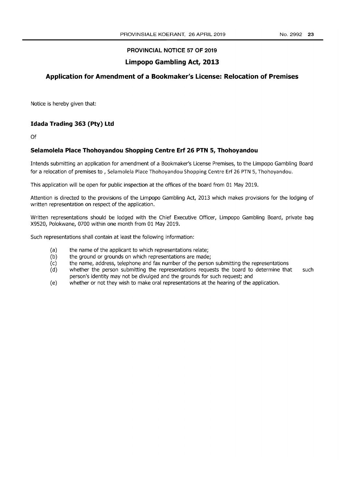such

#### **PROVINCIAL NOTICE 57 OF 2019**

#### **Limpopo Gambling Act, 2013**

#### **Application for Amendment of a Bookmaker's License: Relocation of Premises**

Notice is hereby given that:

#### **Idada Trading 363 (pty) Ltd**

Of

#### **Selamolela Place Thohoyandou Shopping Centre Erf 26 PTN 5, Thohoyandou**

Intends submitting an application for amendment of a Bookmaker's License Premises, to the Limpopo Gambling Board for a relocation of premises to, Selamolela Place Thohoyandou Shopping Centre Erf 26 PTN 5, Thohoyandou.

This application will be open for public inspection at the offices of the board from 01 May 2019.

Attention is directed to the provisions of the Limpopo Gambling Act, 2013 which makes provisions for the lodging of written representation on respect of the application.

Written representations should be lodged with the Chief Executive Officer, Limpopo Gambling Board, private bag X9520, Polokwane, 0700 within one month from 01 May 2019.

Such representations shall contain at least the following information:

- (a) the name of the applicant to which representations relate;
- (b) the ground or grounds on which representations are made;
- (c) the name, address, telephone and fax number of the person submitting the representations
- (d) whether the person submitting the representations requests the board to determine that person's identity may not be divulged and the grounds for such request; and
- (e) whether or not they wish to make oral representations at the hearing of the application.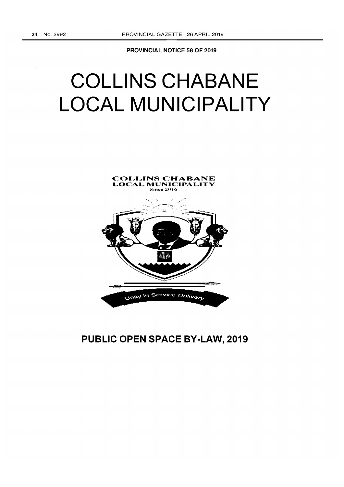PROVINCIAL NOTICE 58 OF 2019

# **COLLINS CHABANE LOCAL MUNICIPALITY**



**PUBLIC OPEN SPACE BY-LAW, 2019**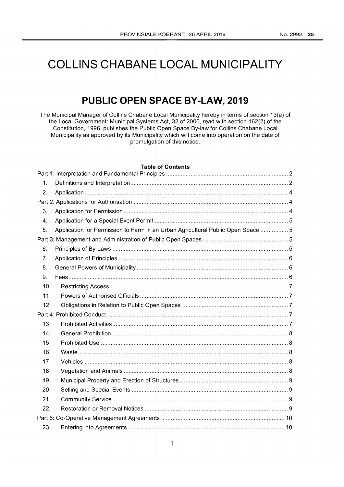# **COLLINS CHABANE LOCAL MUNICIPALITY**

# **PUBLIC OPEN SPACE BY-LAW, 2019**

The Municipal Manager of Collins Chabane Local Municipality hereby in terms of section 13(a) of the Local Government: Municipal Systems Act, 32 of 2000, read with section 162(2) of the Constitution, 1996, publishes the Public Open Space By-law for Collins Chabane Local Municipality as approved by its Municipality which will come into operation on the date of promulgation of this notice.

#### **Table of Contents**

| 1.  |                                                                                  |  |
|-----|----------------------------------------------------------------------------------|--|
| 2.  |                                                                                  |  |
|     |                                                                                  |  |
| 3.  |                                                                                  |  |
| 4.  |                                                                                  |  |
| 5.  | Application for Permission to Farm in an Urban Agricultural Public Open Space  5 |  |
|     |                                                                                  |  |
| 6.  |                                                                                  |  |
| 7.  |                                                                                  |  |
| 8.  |                                                                                  |  |
| 9.  |                                                                                  |  |
| 10. |                                                                                  |  |
| 11. |                                                                                  |  |
| 12. |                                                                                  |  |
|     |                                                                                  |  |
| 13. |                                                                                  |  |
| 14. |                                                                                  |  |
| 15. |                                                                                  |  |
| 16. |                                                                                  |  |
| 17. |                                                                                  |  |
| 18. |                                                                                  |  |
| 19. |                                                                                  |  |
| 20. |                                                                                  |  |
| 21. |                                                                                  |  |
| 22. |                                                                                  |  |
|     |                                                                                  |  |
| 23. |                                                                                  |  |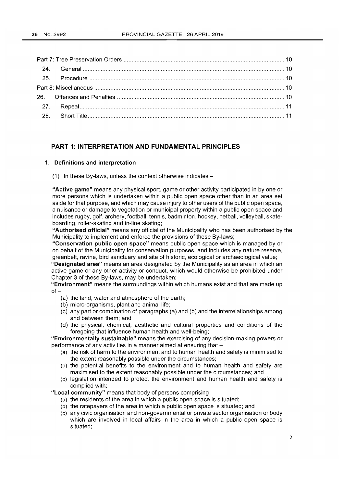#### **PART 1: INTERPRETATION AND FUNDAMENTAL PRINCIPLES**

#### 1. Definitions and interpretation

(1) In these By-laws, unless the context otherwise indicates  $-$ 

"Active game" means any physical sport, game or other activity participated in by one or more persons which is undertaken within a public open space other than in an area set aside for that purpose, and which may cause injury to other users of the public open space, a nuisance or damage to vegetation or municipal property within a public open space and includes rugby, golf, archery, football, tennis, badminton, hockey, netball, volleyball, skateboarding, roller-skating and in-line skating;

"Authorised official" means any official of the Municipality who has been authorised by the Municipality to implement and enforce the provisions of these By-laws;

"Conservation public open space" means public open space which is managed by or on behalf of the Municipality for conservation purposes, and includes any nature reserve, greenbelt, ravine, bird sanctuary and site of historic, ecological or archaeological value;

"Designated area" means an area designated by the Municipality as an area in which an active game or any other activity or conduct, which would otherwise be prohibited under Chapter 3 of these By-laws, may be undertaken;

"Environment" means the surroundings within which humans exist and that are made up  $of -$ 

- (a) the land, water and atmosphere of the earth;
- (b) micro-organisms, plant and animal life;
- (c) any part or combination of paragraphs (a) and (b) and the interrelationships among and between them; and
- (d) the physical, chemical, aesthetic and cultural properties and conditions of the foregoing that influence human health and well-being;

"Environmentally sustainable" means the exercising of any decision-making powers or performance of any activities in a manner aimed at ensuring that  $-$ 

- (a) the risk of harm to the environment and to human health and safety is minimised to the extent reasonably possible under the circumstances;
- (b) the potential benefits to the environment and to human health and safety are maximised to the extent reasonably possible under the circumstances; and
- (c) legislation intended to protect the environment and human health and safety is complied with;

"Local community" means that body of persons comprising  $-$ 

- (a) the residents of the area in which a public open space is situated;
- (b) the ratepayers of the area in which a public open space is situated; and
- (c) any civic organisation and non-governmental or private sector organisation or body which are involved in local affairs in the area in which a public open space is situated;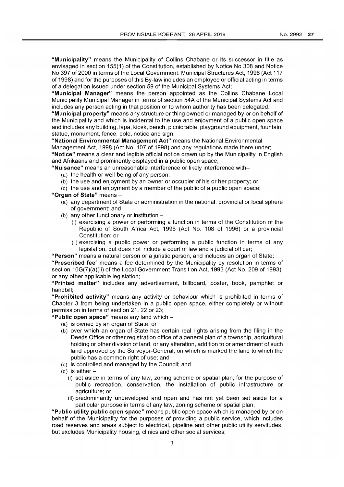"Municipality" means the Municipality of Collins Chabane or its successor in title as envisaged in section 155(1) of the Constitution, established by Notice No 308 and Notice No 397 of 2000 in terms of the Local Government: Municipal Structures Act, 1998 (Act 117 of 1998) and for the purposes of this By-law includes an employee or official acting in terms of a delegation issued under section 59 of the Municipal Systems Act;

"Municipal Manager" means the person appointed as the Collins Chabane Local Municipality Municipal Manager in terms of section 54A of the Municipal Systems Act and includes any person acting in that position or to whom authority has been delegated;

"Municipal property" means any structure or thing owned or managed by or on behalf of the Municipality and which is incidental to the use and enjoyment of a public open space and includes any building, lapa, kiosk, bench, picnic table, playground equipment, fountain, statue, monument, fence, pole, notice and sign;

"National Environmental Management Act" means the National Environmental Management Act, 1998 (Act No. 107 of 1998) and any regulations made there under; "Notice" means a clear and legible official notice drawn up by the Municipality in English and Afrikaans and prominently displayed in a public open space;

"Nuisance" means an unreasonable interference or likely interference with-

- (a) the health or well-being of any person;
- (b) the use and enjoyment by an owner or occupier of his or her property; or
- (c) the use and enjoyment by a member of the public of a public open space;
- "Organ of State" means
	- (a) any department of State or administration in the national, provincial or local sphere of government; and
	- (b) any other functionary or institution  $-$ 
		- (i) exercising a power or performing a function in terms of the Constitution of the Republic of South Africa Act, 1996 (Act No. 108 of 1996) or a provincial Constitution; or
		- (ii) exercising a public power or performing a public function in terms of any legislation, but does not include a court of law and a judicial officer;

"Person" means a natural person or a juristic person, and includes an organ of State;

"Prescribed fee" means a fee determined by the Municipality by resolution in terms of section 10G(7)(a)(ii) of the Local Government Transition Act, 1993 (Act No. 209 of 1993), or any other applicable legislation;

"Printed matter" includes any advertisement, billboard, poster, book, pamphlet or handbill;

"Prohibited activity" means any activity or behaviour which is prohibited in terms of Chapter 3 from being undertaken in a public open space, either completely or without permission in terms of section 21, 22 or 23;

"Public open space" means any land which  $-$ 

- (a) is owned by an organ of State, or
- (b) over which an organ of State has certain real rights arising from the filing in the Deeds Office or other registration office of a general plan of a township, agricultural holding or other division of land, or any alteration, addition to or amendment of such land approved by the Surveyor-General, on which is marked the land to which the public has a common right of use; and
- (c) is controlled and managed by the Council; and
- (d) is either  $-$ 
	- (i) set aside in terms of any law, zoning scheme or spatial plan, for the purpose of public recreation, conservation, the installation of public infrastructure or agriculture; or
	- (ii) predominantly undeveloped and open and has not yet been set aside for a particular purpose in terms of any law, zoning scheme or spatial plan;

"Public utility public open space" means public open space which is managed by or on behalf of the Municipality for the purposes of providing a public service, which includes road reserves and areas subject to electrical, pipeline and other public utility servitudes, but excludes Municipality housing, clinics and other social services;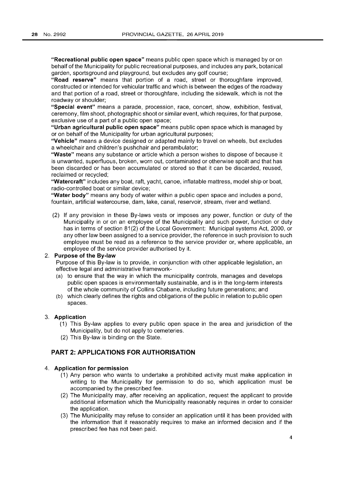"Recreational public open space" means public open space which is managed by or on behalf of the Municipality for public recreational purposes, and includes any park, botanical garden, sportsground and playground, but excludes any golf course;

"Road reserve" means that portion of a road, street or thoroughfare improved, constructed or intended for vehicular traffic and which is between the edges of the roadway and that portion of a road, street or thoroughfare, including the sidewalk, which is not the roadway or shoulder;

"Special event" means a parade, procession, race, concert, show, exhibition, festival, ceremony, film shoot, photographic shoot or similar event, which requires, for that purpose, exclusive use of a part of a public open space;

"Urban agricultural public open space" means public open space which is managed by or on behalf of the Municipality for urban agricultural purposes;

"Vehicle" means a device designed or adapted mainly to travel on wheels, but excludes a wheelchair and children's pushchair and perambulator;

"Waste" means any substance or article which a person wishes to dispose of because it is unwanted, superfluous, broken, worn out, contaminated or otherwise spoilt and that has been discarded or has been accumulated or stored so that it can be discarded, reused, reclaimed or recycled;

"Watercraft" includes any boat, raft, yacht, canoe, inflatable mattress, model ship or boat, radio-controlled boat or similar device;

"Water body" means any body of water within a public open space and includes a pond, fountain, artificial watercourse, dam, lake, canal, reservoir, stream, river and wetland.

(2) If any provision in these By-laws vests or imposes any power, function or duty of the Municipality in or on an employee of the Municipality and such power, function or duty has in terms of section 81(2) of the Local Government: Municipal systems Act, 2000, or any other law been assigned to a service provider, the reference in such provision to such employee must be read as a reference to the service provider or, where applicable, an employee of the service provider authorised by it.

#### 2. Purpose of the By-law

Purpose of this By-law is to provide, in conjunction with other applicable legislation, an effective legal and administrative framework-

- (a) to ensure that the way in which the municipality controls, manages and develops public open spaces is environmentally sustainable, and is in the long-term interests of the whole community of Collins Chabane, including future generations; and
- (b) which clearly defines the rights and obligations of the public in relation to public open spaces.

#### 3. Application

- (1) This By-law applies to every public open space in the area and jurisdiction of the Municipality, but do not apply to cemeteries.
- (2) This By-law is binding on the State.

#### **PART 2: APPLICATIONS FOR AUTHORISATION**

#### 4. Application for permission

- (1) Any person who wants to undertake a prohibited activity must make application in writing to the Municipality for permission to do so, which application must be accompanied by the prescribed fee.
- (2) The Municipality may, after receiving an application, request the applicant to provide additional information which the Municipality reasonably requires in order to consider the application.
- (3) The Municipality may refuse to consider an application until it has been provided with the information that it reasonably requires to make an informed decision and if the prescribed fee has not been paid.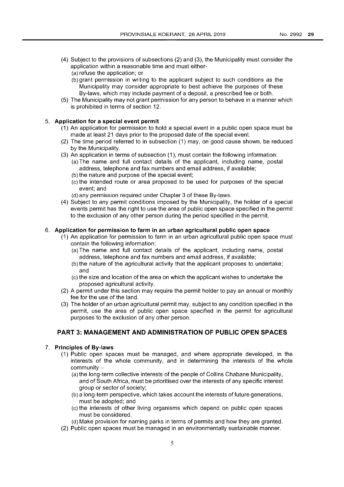- (4) Subject to the provisions of subsections (2) and (3), the Municipality must consider the application within a reasonable time and must either-
	- (a) refuse the application; or
	- (b) grant permission in writing to the applicant subject to such conditions as the Municipality may consider appropriate to best achieve the purposes of these By-laws, which may include payment of a deposit, a prescribed fee or both.
- (5) The Municipality may not grant permission for any person to behave in a manner which is prohibited in terms of section 12.

#### 5. **Application for a special event permit**

- (1) An application for permission to hold a special event in a public open space must be made at least 21 days prior to the proposed date of the special event.
- (2) The time period referred to in subsection (1) may, on good cause shown, be reduced by the Municipality.
- (3) An application in terms of subsection (1), must contain the following information:
	- (a) The name and full contact details of the applicant, including name, postal address, telephone and fax numbers and email address, if available;
	- (b) the nature and purpose of the special event;
	- (e) the intended route or area proposed to be used for purposes of the special event; and
	- (d) any permission required under Chapter 3 of these By-laws.
- (4) Subject to any permit conditions imposed by the Municipality, the holder of a special events permit has the right to use the area of public open space specified in the permit to the exclusion of any other person during the period specified in the permit.

#### 6. **Application for permission to farm in an urban agricultural public open space**

- (1) An application for permission to farm in an urban agricultural public open space must contain the following information:
	- (a) The name and full contact details of the applicant, including name, postal address, telephone and fax numbers and email address, if available;
	- (b) the nature of the agricultural activity that the applicant proposes to undertake; and
	- (e) the size and location of the area on which the applicant wishes to undertake the proposed agricultural activity.
- (2) A permit under this section may require the permit holder to pay an annual or monthly fee for the use of the land.
- (3) The holder of an urban agricultural permit may, subject to any condition specified in the permit, use the area of public open space specified in the permit for agricultural purposes to the exclusion of any other person.

#### **PART 3: MANAGEMENT AND ADMINISTRATION OF PUBLIC OPEN SPACES**

#### 7. **Principles of By-laws**

- (1) Public open spaces must be managed, and where appropriate developed, in the interests of the whole community, and in determining the interests of the whole community -
	- (a) the long-term collective interests of the people of Collins Chabane Municipality, and of South Africa, must be prioritised over the interests of any specific interest group or sector of society;
	- (b) a long-term perspective, which takes account the interests of future generations, must be adopted; and
	- (e) the interests of other living organisms which depend on public open spaces must be considered.
	- (d) Make provision for naming parks in terms of permits and how they are granted.
- (2) Public open spaces must be managed in an environmentally sustainable manner.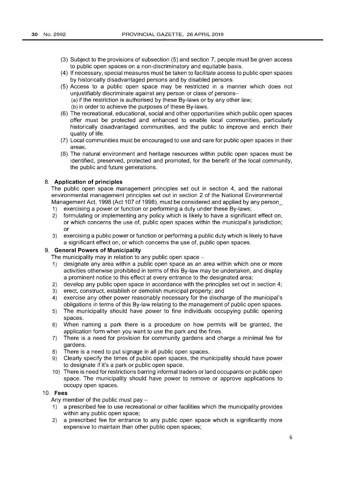- (3) Subject to the provisions of subsection (5) and section 7, people must be given access to public open spaces on a non-discriminatory and equitable basis.
- (4) If necessary, special measures must be taken to facilitate access to public open spaces by historically disadvantaged persons and by disabled persons.
- (5) Access to a public open space may be restricted in a manner which does not uniustifiably discriminate against any person or class of persons-(a) if the restriction is authorised by these By-laws or by any other law;
	- (b) in order to achieve the purposes of these By-laws.
- (6) The recreational, educational, social and other opportunities which public open spaces offer must be protected and enhanced to enable local communities, particularly historically disadvantaged communities, and the public to improve and enrich their quality of life.
- (7) Local communities must be encouraged to use and care for public open spaces in their areas.
- (8) The natural environment and heritage resources within public open spaces must be identified, preserved, protected and promoted, for the benefit of the local community, the public and future generations.

#### 8. **Application of principles**

The public open space management principles set out in section 4, and the national environmental management principles set out in section 2 of the National Environmental Management Act, 1998 (Act 107 of 1998), must be considered and applied by any person\_

- 1) exercising a power or function or performing a duty under these By-laws;
- 2) formulating or implementing any policy which is likely to have a significant effect on, or which concerns the use of, public open spaces within the municipal's jurisdiction; or
- 3) exercising a public power or function or performing a public duty which is likely to have a significant effect on, or which concerns the use of, public open spaces.

#### 9. **General Powers of Municipality**

The municipality may in relation to any public open space  $-$ 

- 1) designate any area within a public open space as an area within which one or more activities otherwise prohibited in terms of this By-law may be undertaken, and display a prominent notice to this effect at every entrance to the designated area;
- 2) develop any public open space in accordance with the principles set out in section 4;
- 3) erect, construct, establish or demolish municipal property; and
- 4) exercise any other power reasonably necessary for the discharge of the municipal's obligations in terms of this By-law relating to the management of public open spaces.
- 5) The municipality should have power to fine individuals occupying public opening spaces.
- 6) When naming a park there is a procedure on how permits will be granted, the application form when you want to use the park and the fines.
- 7) There is a need for provision for community gardens and charge a minimal fee for gardens.
- 8) There is a need to put signage in all public open spaces.
- 9) Clearly specify the times of public open spaces, the municipality should have power to designate if it's a park or public open space.
- 10) There is need for restrictions barring informal traders or land occupants on public open space. The municipality should have power to remove or approve applications to occupy open spaces.

#### 10. **Fees**

Any member of the public must pay  $-$ 

- 1) a prescribed fee to use recreational or other facilities which the municipality provides within any public open space;
- 2) a prescribed fee for entrance to any public open space which is significantly more expensive to maintain than other public open spaces;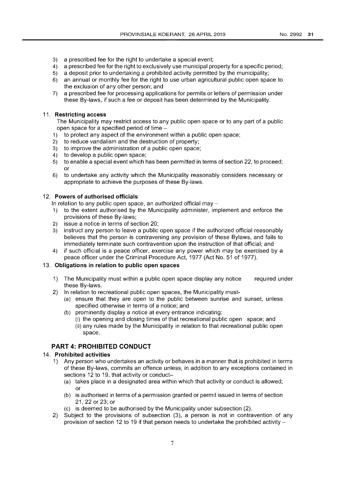- 3) a prescribed fee for the right to undertake a special event;
- 4) a prescribed fee for the right to exclusively use municipal property for a specific period;
- 5) a deposit prior to undertaking a prohibited activity permitted by the municipality;
- 6) an annual or monthly fee for the right to use urban agricultural public open space to the exclusion of any other person; and
- 7) a prescribed fee for processing applications for permits or letters of permission under these By-laws, if such a fee or deposit has been determined by the Municipality.

#### 11. **Restricting access**

The Municipality may restrict access to any public open space or to any part of a public open space for a specified period of time  $-$ 

- 1) to protect any aspect of the environment within a public open space;
- 2) to reduce vandalism and the destruction of property;
- 3) to improve the administration of a public open space;
- 4) to develop a public open space;
- 5) to enable a special event which has been permitted in terms of section 22, to proceed; or
- 6) to undertake any activity which the Municipality reasonably considers necessary or appropriate to achieve the purposes of these By-laws.

#### 12. **Powers of authorised officials**

In relation to any public open space, an authorized official may  $-$ 

- 1) to the extent authorised by the Municipality administer, implement and enforce the provisions of these By-laws;
- 2) issue a notice in terms of section 20;
- 3) instruct any person to leave a public open space if the authorized official reasonably believes that the person is contravening any provision of these Bylaws, and fails to immediately terminate such contravention upon the instruction of that official; and
- 4) if such official is a peace officer, exercise any power which may be exercised by a peace officer under the Criminal Procedure Act, 1977 (Act No. 51 of 1977).

#### 13. **Obligations in relation to public open spaces**

- 1) The Municipality must within a public open space display any notice required under these By-laws.
- 2) In relation to recreational public open spaces, the Municipality must-
	- (a) ensure that they are open to the public between sunrise and sunset, unless specified otherwise in terms of a notice; and
	- (b) prominently display a notice at every entrance indicating:
		- (i) the opening and closing times of that recreational public open space; and (ii) any rules made by the Municipality in relation to that recreational public open space.

#### **PART 4: PROHIBITED CONDUCT**

#### 14. **Prohibited activities**

- 1) Any person who undertakes an activity or behaves in a manner that is prohibited in terms of these By-laws, commits an offence unless, in addition to any exceptions contained in sections 12 to 19, that activity or conduct-
	- (a) takes place in a designated area within which that activity or conduct is allowed; or
	- (b) is authorised in terms of a permission granted or permit issued in terms of section 21, 22 or 23; or
	- (c) is deemed to be authorised by the Municipality under subsection (2).
- 2) Subject to the provisions of subsection (3), a person is not in contravention of any provision of section 12 to 19 if that person needs to undertake the prohibited activity  $-$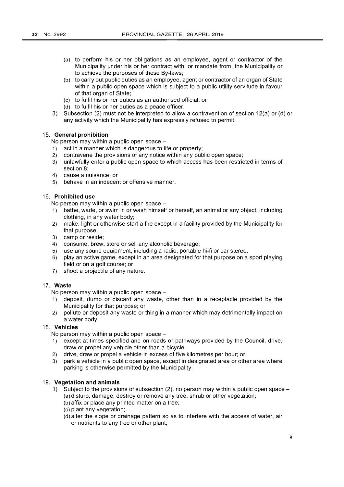- (a) to perform his or her obligations as an employee, agent or contractor of the Municipality under his or her contract with, or mandate from, the Municipality or to achieve the purposes of these By-laws;
- (b) to carry out public duties as an employee, agent or contractor of an organ of State within a public open space which is subject to a public utility servitude in favour of that organ of State;
- (e) to fulfil his or her duties as an authorised official; or
- (d) to fulfil his or her duties as a peace officer.
- 3) Subsection (2) must not be interpreted to allow a contravention of section 12(a) or (d) or any activity which the Municipality has expressly refused to permit.

#### 15. **General prohibition**

No person may within a public open space  $-$ 

- 1) act in a manner which is dangerous to life or property;
- 2) contravene the provisions of any notice within any public open space;
- 3) unlawfully enter a public open space to which access has been restricted in terms of section 8;
- 4) cause a nuisance; or
- 5) behave in an indecent or offensive manner.

#### 16. **Prohibited use**

No person may within a public open space  $-$ 

- 1) bathe, wade, or swim in or wash himself or herself, an animal or any object, including clothing, in any water body;
- 2) make, light or otherwise start a fire except in a facility provided by the Municipality for that purpose;
- 3) camp or reside;
- 4) consume, brew, store or sell any alcoholic beverage;
- 5) use any sound equipment, including a radio, portable hi-fi or car stereo;
- 6) play an active game, except in an area designated for that purpose on a sport playing field or on a golf course; or
- 7) shoot a projectile of any nature.

#### 17. **Waste**

No person may within a public open space  $-$ 

- 1) deposit, dump or discard any waste, other than in a receptacle provided by the Municipality for that purpose; or
- 2) pollute or deposit any waste or thing in a manner which may detrimentally impact on a water body

#### 18. **Vehicles**

No person may within a public open space  $-$ 

- 1) except at times specified and on roads or pathways provided by the Council, drive, draw or propel any vehicle other than a bicycle;
- 2) drive, draw or propel a vehicle in excess of five kilometres per hour; or
- 3) park a vehicle in a public open space, except in designated area or other area where parking is otherwise permitted by the Municipality.

#### 19. **Vegetation and animals**

- 1) Subject to the provisions of subsection (2), no person may within a public open space -(a) disturb, damage, destroy or remove any tree, shrub or other vegetation;
	- (b) affix or place any printed matter on a tree;
	- (e) plant any vegetation;
	- (d) alter the slope or drainage pattern so as to interfere with the access of water, air or nutrients to any tree or other plant;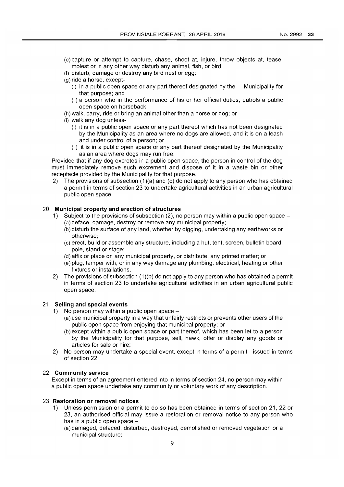- (e) capture or attempt to capture, chase, shoot at, injure, throw objects at, tease, molest or in any other way disturb any animal, fish, or bird;
- (f) disturb, damage or destroy any bird nest or egg;
- (9) ride a horse, except-
	- (i) in a public open space or any part thereof designated by the Municipality for that purpose; and
	- (ii) a person who in the performance of his or her official duties, patrols a public open space on horseback;
- (h) walk, carry, ride or bring an animal other than a horse or dog; or
- (i) walk any dog unless-
	- (i) it is in a public open space or any part thereof which has not been designated by the Municipality as an area where no dogs are allowed, and it is on a leash and under control of a person; or
	- (ii) it is in a public open space or any part thereof designated by the Municipality as an area where dogs may run free:

Provided that if any dog excretes in a public open space, the person in control of the dog must immediately remove such excrement and dispose of it in a waste bin or other receptacle provided by the Municipality for that purpose.

2) The provisions of subsection  $(1)(a)$  and  $(c)$  do not apply to any person who has obtained a permit in terms of section 23 to undertake agricultural activities in an urban agricultural public open space.

#### 20. **Municipal property and erection of structures**

- 1) Subject to the provisions of subsection  $(2)$ , no person may within a public open space  $-$ (a) deface, damage, destroy or remove any municipal property;
	- (b) disturb the surface of any land, whether by digging, undertaking any earthworks or otherwise;
	- (c) erect, build or assemble any structure, including a hut, tent, screen, bulletin board, pole, stand or stage;
	- (d) affix or place on any municipal property, or distribute, any printed matter; or
	- (e) plug, tamper with, or in any way damage any plumbing, electrical, heating or other fixtures or installations.
- 2) The provisions of subsection  $(1)(b)$  do not apply to any person who has obtained a permit in terms of section 23 to undertake agricultural activities in an urban agricultural public open space.

#### 21. **Selling and special events**

- 1) No person may within a public open space  $-$ 
	- (a) use municipal property in a way that unfairly restricts or prevents other users of the public open space from enjoying that municipal property; or
	- (b) except within a public open space or part thereof, which has been let to a person by the Municipality for that purpose, sell, hawk, offer or display any goods or articles for sale or hire;
- 2) No person may undertake a special event, except in terms of a permit issued in terms of section 22.

#### 22. **Community service**

Except in terms of an agreement entered into in terms of section 24, no person may within a public open space undertake any community or voluntary work of any description.

#### 23. **Restoration or removal notices**

- 1) Unless permission or a permit to do so has been obtained in terms of section 21, 22 or 23, an authorised official may issue a restoration or removal notice to any person who has in a public open space -
	- (a) damaged, defaced, disturbed, destroyed, demolished or removed vegetation or a municipal structure;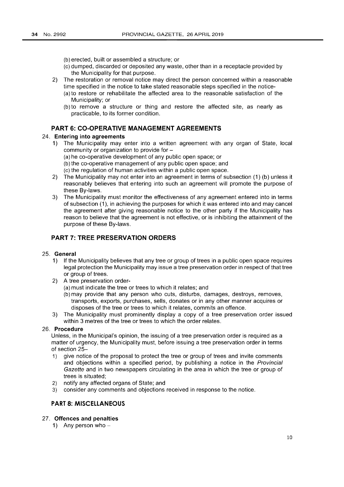- (b) erected, built or assembled a structure; or
- (c) dumped, discarded or deposited any waste, other than in a receptacle provided by the Municipality for that purpose.
- 2) The restoration or removal notice may direct the person concerned within a reasonable time specified in the notice to take stated reasonable steps specified in the notice-
	- (a) to restore or rehabilitate the affected area to the reasonable satisfaction of the Municipality; or
	- (b) to remove a structure or thing and restore the affected site, as nearly as practicable, to its former condition.

#### **PART 6: CO-OPERATIVE MANAGEMENT AGREEMENTS**

#### 24. **Entering into agreements**

- 1) The Municipality may enter into a written agreement with any organ of State, local community or organization to provide for -
	- (a) he co-operative development of any public open space; or
	- (b) the co-operative management of any public open space; and
	- (c) the regulation of human activities within a public open space.
- 2) The Municipality may not enter into an agreement in terms of subsection (1) (b) unless it reasonably believes that entering into such an agreement will promote the purpose of these By-laws.
- 3) The Municipality must monitor the effectiveness of any agreement entered into in terms of subsection (1), in achieving the purposes for which it was entered into and may cancel the agreement after giving reasonable notice to the other party if the Municipality has reason to believe that the agreement is not effective, or is inhibiting the attainment of the purpose of these By-laws.

#### **PART 7: TREE PRESERVATION ORDERS**

#### 25. **General**

- 1) If the Municipality believes that any tree or group of trees in a public open space requires legal protection the Municipality may issue a tree preservation order in respect of that tree or group of trees.
- 2) A tree preservation order-
	- (a) must indicate the tree or trees to which it relates; and
	- (b) may provide that any person who cuts, disturbs, damages, destroys, removes, transports, exports, purchases, sells, donates or in any other manner acquires or disposes of the tree or trees to which it relates, commits an offence.
- 3) The Municipality must prominently display a copy of a tree preservation order issued within 3 metres of the tree or trees to which the order relates.

#### 26. **Procedure**

Unless, in the Municipal's opinion, the issuing of a tree preservation order is required as a matter of urgency, the Municipality must, before issuing a tree preservation order in terms of section 25-

- 1) give notice of the proposal to protect the tree or group of trees and invite comments and objections within a specified period, by publishing a notice in the Provincial Gazette and in two newspapers circulating in the area in which the tree or group of trees is situated;
- 2) notify any affected organs of State; and
- 3) consider any comments and objections received in response to the notice.

#### **PART 8: MISCELLANEOUS**

#### 27. **Offences and penalties**

1) Any person who  $-$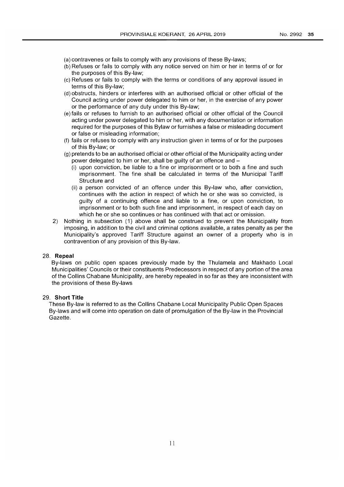- (a) contravenes or fails to comply with any provisions of these By-laws;
- (b) Refuses or fails to comply with any notice served on him or her in terms of or for the purposes of this By-law;
- (c) Refuses or fails to comply with the terms or conditions of any approval issued in terms of this By-law;
- (d) obstructs, hinders or interferes with an authorised official or other official of the Council acting under power delegated to him or her, in the exercise of any power or the performance of any duty under this By-law;
- (e) fails or refuses to furnish to an authorised official or other official of the Council acting under power delegated to him or her, with any documentation or information required for the purposes of this Bylaw or furnishes a false or misleading document or false or misleading information;
- (f) fails or refuses to comply with any instruction given in terms of or for the purposes of this By-law; or
- (g) pretends to be an authorised official or other official of the Municipality acting under power delegated to him or her, shall be guilty of an offence and -
	- (i) upon conviction, be liable to a fine or imprisonment or to both a fine and such imprisonment. The fine shall be calculated in terms of the Municipal Tariff Structure and
	- (ii) a person convicted of an offence under this By-law who, after conviction, continues with the action in respect of which he or she was so convicted, is guilty of a continuing offence and liable to a fine, or upon conviction, to imprisonment or to both such fine and imprisonment, in respect of each day on which he or she so continues or has continued with that act or omission.
- 2) Nothing in subsection (1) above shall be construed to prevent the Municipality from imposing, in addition to the civil and criminal options available, a rates penalty as per the Municipality's approved Tariff Structure against an owner of a property who is in contravention of any provision of this By-law.

#### 28. **Repeal**

By-laws on public open spaces previously made by the Thulamela and Makhado Local Municipalities' Councils or their constituents Predecessors in respect of any portion of the area of the Collins Chabane Municipality, are hereby repealed in so far as they are inconsistent with the provisions of these By-laws

#### 29. **Short Title**

These By-law is referred to as the Collins Chabane Local Municipality Public Open Spaces By-laws and will come into operation on date of promulgation of the By-law in the Provincial Gazette.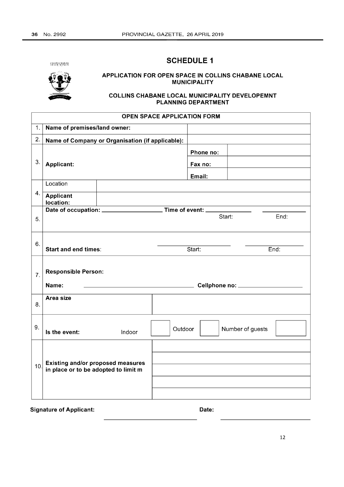# **SCHEDULE 1**

(-01.1 INS CITARANE)<br>Got Al Mi Nicopal (15



#### **APPLICATION FOR OPEN SPACE IN COLLINS CHABANE LOCAL MUNICIPALITY**

#### **COLLINS CHABANE LOCAL MUNICIPALITY DEVELOPEMNT PLANNING DEPARTMENT**

| <b>OPEN SPACE APPLICATION FORM</b> |                                                                                                                                                    |                                   |  |  |  |
|------------------------------------|----------------------------------------------------------------------------------------------------------------------------------------------------|-----------------------------------|--|--|--|
| 1.1                                | Name of premises/land owner:                                                                                                                       |                                   |  |  |  |
| 2.                                 | Name of Company or Organisation (if applicable):                                                                                                   |                                   |  |  |  |
| 3.                                 |                                                                                                                                                    | Phone no:                         |  |  |  |
|                                    | <b>Applicant:</b>                                                                                                                                  | Fax no:<br>Email:                 |  |  |  |
|                                    | Location                                                                                                                                           |                                   |  |  |  |
| 4.                                 | <b>Applicant</b><br>location:                                                                                                                      |                                   |  |  |  |
| 5.                                 | Date of occupation: __________________________ Time of event: ____                                                                                 | Start:<br>End:                    |  |  |  |
| 6.                                 | <b>Start and end times:</b>                                                                                                                        | Start:<br>End:                    |  |  |  |
| 7.                                 | <b>Responsible Person:</b><br>Name:<br><u> 1989 - Johann Barn, mars ann an t-Amhain ann an t-Amhain an t-Amhain an t-Amhain an t-Amhain an t-A</u> | Cellphone no: ___________________ |  |  |  |
| 8.                                 | Area size                                                                                                                                          |                                   |  |  |  |
| 9.                                 | Indoor<br>Is the event:                                                                                                                            | Outdoor<br>Number of guests       |  |  |  |
| 10.                                | Existing and/or proposed measures<br>in place or to be adopted to limit m                                                                          |                                   |  |  |  |

**Signature of Applicant: Date: Date: Date:**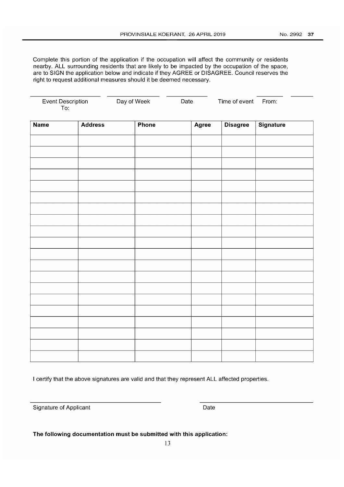Complete this portion of the application if the occupation will affect the community or residents nearby. ALL surrounding residents that are likely to be impacted by the occupation of the space, are to SIGN the application below and indicate if they AGREE or DISAGREE. Council reserves the right to request additional measures should it be deemed necessary.

| Event Description<br>To:<br>Day of Week<br>Date<br>Time of event<br>From: |                |       |       |                 |                  |
|---------------------------------------------------------------------------|----------------|-------|-------|-----------------|------------------|
| <b>Name</b>                                                               | <b>Address</b> | Phone | Agree | <b>Disagree</b> | <b>Signature</b> |
|                                                                           |                |       |       |                 |                  |
|                                                                           |                |       |       |                 |                  |
|                                                                           |                |       |       |                 |                  |
|                                                                           |                |       |       |                 |                  |
|                                                                           |                |       |       |                 |                  |
|                                                                           |                |       |       |                 |                  |
|                                                                           |                |       |       |                 |                  |
|                                                                           |                |       |       |                 |                  |
|                                                                           |                |       |       |                 |                  |
|                                                                           |                |       |       |                 |                  |
|                                                                           |                |       |       |                 |                  |
|                                                                           |                |       |       |                 |                  |
|                                                                           |                |       |       |                 |                  |
|                                                                           |                |       |       |                 |                  |
|                                                                           |                |       |       |                 |                  |
|                                                                           |                |       |       |                 |                  |
|                                                                           |                |       |       |                 |                  |
|                                                                           |                |       |       |                 |                  |

I certify that the above signatures are valid and that they represent ALL affected properties.

Signature of Applicant Date Controller and Date Date Date

**The following documentation must be submitted with this application:**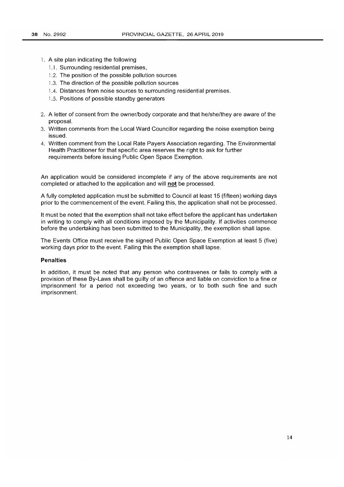- 1. A site plan indicating the following
	- 1.1. Surrounding residential premises,
	- 1.2. The position of the possible pollution sources
	- 1.3. The direction of the possible pollution sources
	- 1.4. Distances from noise sources to surrounding residential premises.
	- 1.5. Positions of possible standby generators
- 2. A letter of consent from the owner/body corporate and that he/she/they are aware of the proposal.
- 3. Written comments from the Local Ward Councillor regarding the noise exemption being issued.
- 4. Written comment from the Local Rate Payers Association regarding. The Environmental Health Practitioner for that specific area reserves the right to ask for further requirements before issuing Public Open Space Exemption.

An application would be considered incomplete if any of the above requirements are not completed or attached to the application and will **not** be processed.

A fully completed application must be submitted to Council at least 15 (fifteen) working days prior to the commencement of the event. Failing this, the application shall not be processed.

It must be noted that the exemption shall not take effect before the applicant has undertaken in writing to comply with all conditions imposed by the Municipality. If activities commence before the undertaking has been submitted to the Municipality, the exemption shall lapse.

The Events Office must receive the signed Public Open Space Exemption at least 5 (five) working days prior to the event. Failing this the exemption shall lapse.

#### **Penalties**

In addition, it must be noted that any person who contravenes or fails to comply with a provision of these By-Laws shall be guilty of an offence and liable on conviction to a fine or imprisonment for a period not exceeding two years, or to both such fine and such imprisonment.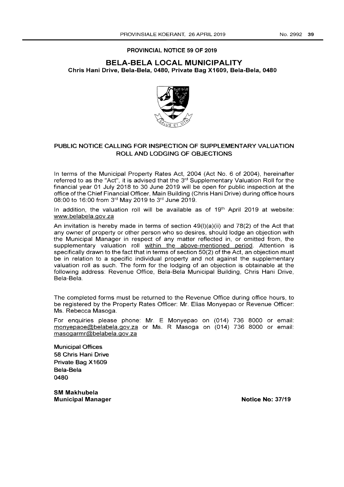#### PROVINCIAL NOTICE 59 OF 2019

#### **BELA-BELA LOCAL MUNICIPALITY**  Chris Hani Drive, Bela-Bela, 0480, Private Bag X1609, Bela-Bela, 0480



#### PUBLIC NOTICE CALLING FOR INSPECTION OF SUPPLEMENTARY VALUATION ROLL AND LODGING OF OBJECTIONS

In terms of the Municipal Property Rates Act, 2004 (Act No. 6 of 2004), hereinafter referred to as the "Act", it is advised that the 3rd Supplementary Valuation Roll for the financial year 01 July 2018 to 30 June 2019 will be open for public inspection at the office of the Chief Financial Officer, Main Building (Chris Hani Drive) during office hours 08:00 to 16:00 from 3rd May 2019 to 3rd June 2019.

In addition, the valuation roll will be available as of  $19<sup>th</sup>$  April 2019 at website: www.belabela.gov.za

An invitation is hereby made in terms of section 49(1)(a)(ii) and 78(2) of the Act that any owner of property or other person who so desires, should lodge an objection with the Municipal Manager in respect of any matter reflected in, or omitted from, the supplementary valuation roll within the above-mentioned period. Attention is specifically drawn to the fact that in terms of section 50(2) of the Act, an objection must be in relation to a specific individual property and not against the supplementary valuation roll as such. The form for the lodging of an objection is obtainable at the following address: Revenue Office, Bela-Bela Municipal Building, Chris Hani Drive, Bela-Bela.

The completed forms must be returned to the Revenue Office during office hours, to be registered by the Property Rates Officer: Mr. Elias Monyepao or Revenue Officer: Ms. Rebecca Masoga.

For enquiries please phone: Mr. E Monyepao on (014) 736 8000 or email: monyepaoe@belabela.gov.za or Ms. R Masoga on (014) 736 8000 or email: masogarmr@belabela.gov.za

Municipal Offices 58 Chris Hani Drive Private Bag X 1609 Bela-Bela 0480

8M Makhubela **Municipal Manager No. 27/19 Notice No: 37/19**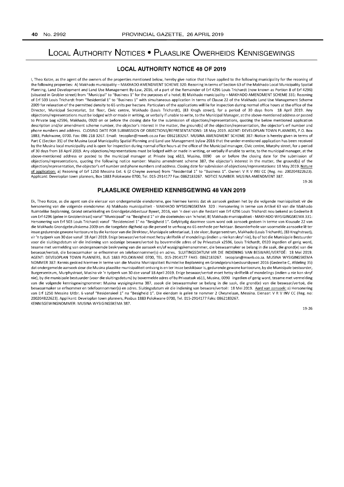# **LOCAL AUTHORITY NOTICES • PLAASLIKE OWERHEIDS KENNISGEWINGS**

#### **LOCAL AUTHORITY NOTICE 48 OF 2019**

I, Theo Kotze, as the agent of the owners of the properties mentioned below, hereby give notice that I have applied to the following municipality for the rezoning of the following properties: A) Makhado municipality - MAKHADO AMENDMENT SCHEME 320: Rezoning in terms of Section 63 of the Makhado Local Municipality Spatial Planning, Land Development and Land Use Management By-Law, 2016, of a part of the Remainder of Erf 4296 Louis Trichardt (now known as Portion 8 of Erf 4296) (situated in Grobler street) from "Municipal" to "Business 1" for the purposes of a hotel; B) Makhado municipality - MAKHADO AMENDMENT SCHEME 331: Rezoning of Erf 503 Louis Trichardt from "Residential 1" to "Business 1" with simultaneous application in terms of Clause 22 of the Makhado Land Use Management Scheme 2009 for relaxation ofthe permitted density to 65 units per hectare. Particulars of the applications will lie for inspection during normal office hours at the office of the Director, Municipal Secretariat, 1st floor, Civic centre, Makhado (Louis Trichardt), (83 Krogh street), for a period of 30 days from 18 April 2019. Any objections/representations must be lodged with or made in writing, or verbally if unable to write, to the Municipal Manager, at the above-mentioned address or posted to Private bag x2596, Makhado, 0920 on or before the closing date for the submission of objections/representations, quoting the below mentioned application description and/or amendment scheme number, the objector's interest in the matter, the ground(s) of the objection/representation, the objector's erf number and phone numbers and address. CLOSING DATE FOR SUBMISSION OF OBJECTIONS/REPRESENTATIONS: 18 May 2019. AGENT: DEVELOPLAN TOWN PLANNERS, P.O. Box 1883, Polokwane, 0700. Fax: 086 218 3267. Email: tecoplan@mweb.co.za Fax: 0862183267. MUSINA AMENDMENT SCHEME 387: Notice is hereby given in terms of Part C (Section 35) of the Musina Local Municipality Spatial Planning and Land use Management bylaw 2016 that the under-mentioned application has been received by the Musina local municipality and is open for inspection during normal office hours at the office of the Municipal manager, Civic centre, Murphy street, for a period of 30 days from 18 April 2019. Any objections/representations must be lodged with or made in writing, or verbally if unable to write, to the municipal manager, at the above-mentioned address or posted to the municipal manager at Private bag x611, Musina, 0090 on or before the closing date for the submission of objections/representations, quoting the following notice number: Musina amendment scheme 387, the objector's interest in the matter, the ground(s) of the objection/representation, the objector's erf number and phone numbers and address. Closing date for submission of objections/representations: 18 May 2019. Nature of application: a) Rezoning of Erf 1250 Messina Ext. 6 (2 Cheyne avenue) from "Residential 1" to "Business 1". Owner: V R V INV CC (Reg. no: 200204822623). Applicant: Developlan town planners, Box 1883 Polokwane 0700, Tel. 015-2914177 Fax: 0862183267. NOTICE NUMBER: MUSINA AMENDMENT 387.

19-26

#### **PLAASLIKE OWERHEID KENNISGEWING 48 VAN 2019**

Ek, Theo Kotze, as die agent van die eienaar van ondergemelde eiendomme, gee hiermee kennis dat ek aansoek gedoen het by die volgende munisipaliteit vir die hersonering van die volgende eiendomme: A) Makhado munisipaliteit - MAKHADO WYSIGINGSKEMA 320: Hersonering in terme van Artikel 63 van die Makhado Ruimtelike Beplanning, Grond ontwikkeling en Grondgebruikbestuur Bywet, 2016, van 'n deel van die Restant van Erf 4296 Louis Trichardt nou bekend as Gedeelte 8 van Erf 4296 (gelee in Groblerstraat) vanaf "Munisipaal" na "Besigheid 1" vir die doeleindes van 'n hotel; B) Makhado munisipaliteit - MAKHADO WYSIGINGSKEMA 331: Hersonering van Erf 503 Louis Trichardt vanaf "Residensieel 1" na "Besigheid 1". Gelyktydig daarmee saam word ook aansoek gedoen in terme van Klousule 22 van die Makhado Grondgebruikskema 2009 om die toegelate digtheid op die perseel te verhoog na 65 eenhede per hektaar. Besonderhede van voormelde aansoeke Ie ter insae gedurende gewone kantoorure by die kantoor van die Direkteur, Munisipale sekretariaat, 1 ste vloer, Burgersentrum, Makhado (Louis Trichardt), (83 Kroghstraat), vir 'n tydperk van 30 dae vanaf 18 April 2019. Enige beswaar/vertoe moet hetsy skriftelik of mondelings (indien u nie kan skryf nie), by oftot die Munisipale Bestuurder voor die sluitingsdatum vir die indiening van sodanige besware/vertoe by bovermelde adres of by Privaatsak x2596, Louis Trichardt, 0920 ingedien of gerig word, tesame met vermelding van ondergenoemde beskrywing van die aansoek en/of wysigingskemanommer, die beswaarmaker se belang in die saak, die grond(e) van die beswaar/vertoe, die beswaarmaker se erfnommer en telefoonnommer(s) en adres. SLUITINGSDATUM VIR DIE INDIENING VAN BESWARE/VERTOE: 18 Mei 2019. AGENT: DEVELOPLAN TOWN PLANNERS, BUS 1883 POLOKWANE 0700, TEL. 015-2914177 FAKS: 0862183267. tecoplan@mweb.co.za. MUSINA WYSIGINGSKEMA NOMMER 387: Kennis geskied hiermee in terme van die Musina Munisipaliteit Ruimtelike Beplanning en Grondgebruikbestuursbywet 2016 (Gedeelte C, Afdeling 35) dat ondergemelde aansoek deur die Musina plaaslike munisipaliteit ontvang is en ter insae beskikbaar is, gedurende gewone kantoorure, by die Munisipale bestuurder, Burgersentrum, Murphystraat, Musina vir 'n tydperk van 30 dae vanaf 18 April 2019. Enige beswaar/vertoë moet hetsy skriftelik of mondelings (indien u nie kan skryf nie), by die munisipale bestuurder (voor die sluitingsdatum) by bovermelde adres of by Privaatsak x611, Musina, 0090 ingedien of gerig word, tesame met vermelding van die volgende kennisgewingnommer: Musina wysigingskema 387, asook die beswaarmaker se belang in die saak, die grond(e) van die beswaar/vertoe, die beswaarmaker se erfnommer en telefoonnommer(s) en ad res. Sluitingsdatum vir die indiening van besware/vertoe: 18 Mei 2019. Aard van aansoek: a) Hersonering van Erf 1250 Messina Uitbr. 6 vanaf "Residensieel 1" na "Besigheid 1". Die eiendom is geleë te nommer 2 Cheynelaan, Messina. Eienaar: V R V INV CC (Reg. no: 200204822623). Applikant: Developlan town planners, Posbus 1883 Polokwane 0700, Tel. 015-2914177 Faks: 0862183267. KENNISGEWINGNOMMER: MUSINA WYSIGINGSKEMA 387.